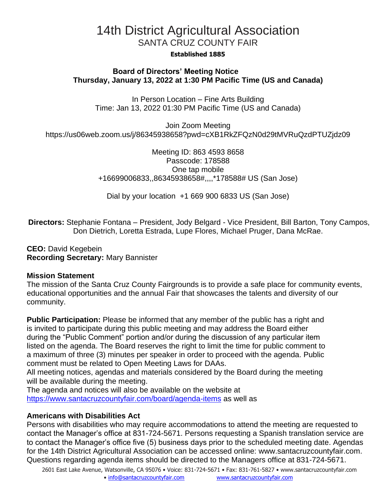# 14th District Agricultural Association SANTA CRUZ COUNTY FAIR

#### **Established 1885**

## **Board of Directors' Meeting Notice Thursday, January 13, 2022 at 1:30 PM Pacific Time (US and Canada)**

In Person Location – Fine Arts Building Time: Jan 13, 2022 01:30 PM Pacific Time (US and Canada)

Join Zoom Meeting https://us06web.zoom.us/j/86345938658?pwd=cXB1RkZFQzN0d29tMVRuQzdPTUZjdz09

> Meeting ID: 863 4593 8658 Passcode: 178588 One tap mobile +16699006833,,86345938658#,,,,\*178588# US (San Jose)

Dial by your location +1 669 900 6833 US (San Jose)

**Directors:** Stephanie Fontana – President, Jody Belgard - Vice President, Bill Barton, Tony Campos, Don Dietrich, Loretta Estrada, Lupe Flores, Michael Pruger, Dana McRae.

**CEO:** David Kegebein **Recording Secretary:** Mary Bannister

### **Mission Statement**

The mission of the Santa Cruz County Fairgrounds is to provide a safe place for community events, educational opportunities and the annual Fair that showcases the talents and diversity of our community.

**Public Participation:** Please be informed that any member of the public has a right and is invited to participate during this public meeting and may address the Board either during the "Public Comment" portion and/or during the discussion of any particular item listed on the agenda. The Board reserves the right to limit the time for public comment to a maximum of three (3) minutes per speaker in order to proceed with the agenda. Public comment must be related to Open Meeting Laws for DAAs.

All meeting notices, agendas and materials considered by the Board during the meeting will be available during the meeting.

The agenda and notices will also be available on the website at <https://www.santacruzcountyfair.com/board/agenda-items> as well as

### **Americans with Disabilities Act**

Persons with disabilities who may require accommodations to attend the meeting are requested to contact the Manager's office at 831-724-5671. Persons requesting a Spanish translation service are to contact the Manager's office five (5) business days prior to the scheduled meeting date. Agendas for the 14th District Agricultural Association can be accessed online: [www.santacruzcountyfair.com.](http://www.santacruzcountyfair.com/) Questions regarding agenda items should be directed to the Managers office at 831-724-5671.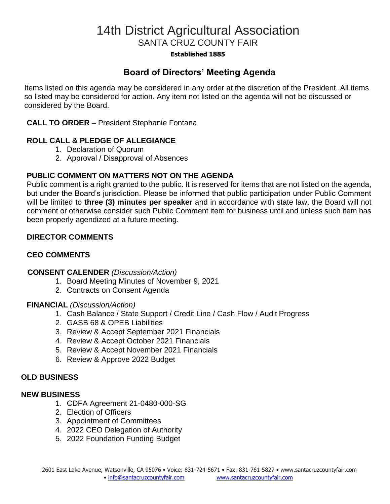# 14th District Agricultural Association SANTA CRUZ COUNTY FAIR

#### **Established 1885**

# **Board of Directors' Meeting Agenda**

Items listed on this agenda may be considered in any order at the discretion of the President. All items so listed may be considered for action. Any item not listed on the agenda will not be discussed or considered by the Board.

### **CALL TO ORDER** – President Stephanie Fontana

# **ROLL CALL & PLEDGE OF ALLEGIANCE**

- 1. Declaration of Quorum
- 2. Approval / Disapproval of Absences

# **PUBLIC COMMENT ON MATTERS NOT ON THE AGENDA**

Public comment is a right granted to the public. It is reserved for items that are not listed on the agenda, but under the Board's jurisdiction. Please be informed that public participation under Public Comment will be limited to **three (3) minutes per speaker** and in accordance with state law, the Board will not comment or otherwise consider such Public Comment item for business until and unless such item has been properly agendized at a future meeting.

# **DIRECTOR COMMENTS**

# **CEO COMMENTS**

### **CONSENT CALENDER** *(Discussion/Action)*

- 1. Board Meeting Minutes of November 9, 2021
- 2. Contracts on Consent Agenda

### **FINANCIAL** *(Discussion/Action)*

- 1. Cash Balance / State Support / Credit Line / Cash Flow / Audit Progress
- 2. GASB 68 & OPEB Liabilities
- 3. Review & Accept September 2021 Financials
- 4. Review & Accept October 2021 Financials
- 5. Review & Accept November 2021 Financials
- 6. Review & Approve 2022 Budget

#### **OLD BUSINESS**

#### **NEW BUSINESS**

- 1. CDFA Agreement 21-0480-000-SG
- 2. Election of Officers
- 3. Appointment of Committees
- 4. 2022 CEO Delegation of Authority
- 5. 2022 Foundation Funding Budget